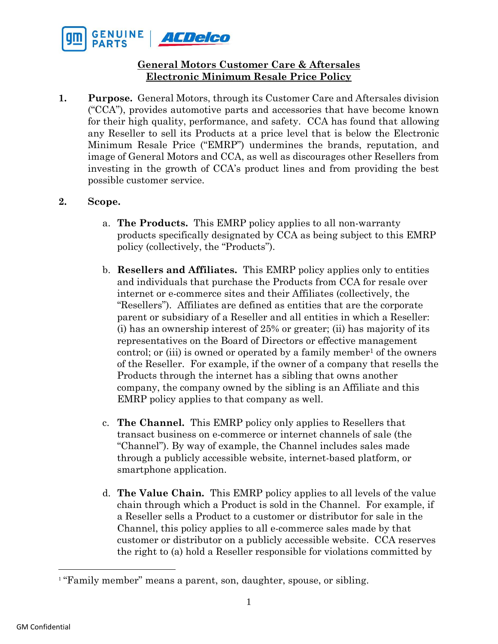

## **General Motors Customer Care & Aftersales Electronic Minimum Resale Price Policy**

**1. Purpose.** General Motors, through its Customer Care and Aftersales division ("CCA"), provides automotive parts and accessories that have become known for their high quality, performance, and safety. CCA has found that allowing any Reseller to sell its Products at a price level that is below the Electronic Minimum Resale Price ("EMRP") undermines the brands, reputation, and image of General Motors and CCA, as well as discourages other Resellers from investing in the growth of CCA's product lines and from providing the best possible customer service.

## **2. Scope.**

- a. **The Products.** This EMRP policy applies to all non-warranty products specifically designated by CCA as being subject to this EMRP policy (collectively, the "Products").
- b. **Resellers and Affiliates.** This EMRP policy applies only to entities and individuals that purchase the Products from CCA for resale over internet or e-commerce sites and their Affiliates (collectively, the "Resellers"). Affiliates are defined as entities that are the corporate parent or subsidiary of a Reseller and all entities in which a Reseller: (i) has an ownership interest of 25% or greater; (ii) has majority of its representatives on the Board of Directors or effective management control; or (iii) is owned or operated by a family member<sup>1</sup> of the owners of the Reseller. For example, if the owner of a company that resells the Products through the internet has a sibling that owns another company, the company owned by the sibling is an Affiliate and this EMRP policy applies to that company as well.
- c. **The Channel.** This EMRP policy only applies to Resellers that transact business on e-commerce or internet channels of sale (the "Channel"). By way of example, the Channel includes sales made through a publicly accessible website, internet-based platform, or smartphone application.
- d. **The Value Chain.** This EMRP policy applies to all levels of the value chain through which a Product is sold in the Channel. For example, if a Reseller sells a Product to a customer or distributor for sale in the Channel, this policy applies to all e-commerce sales made by that customer or distributor on a publicly accessible website. CCA reserves the right to (a) hold a Reseller responsible for violations committed by

<sup>&</sup>lt;sup>1</sup> "Family member" means a parent, son, daughter, spouse, or sibling.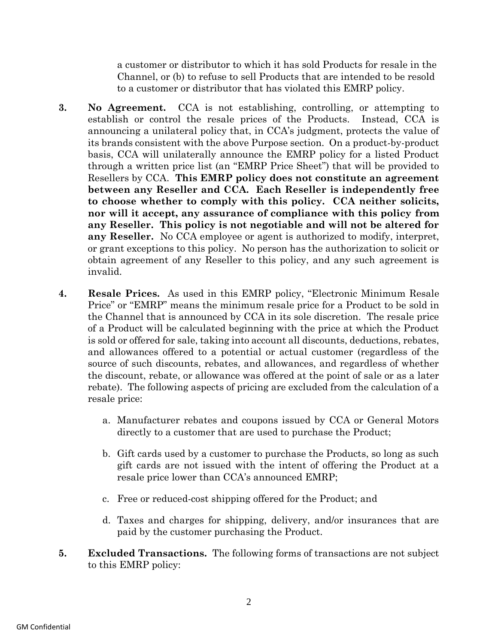a customer or distributor to which it has sold Products for resale in the Channel, or (b) to refuse to sell Products that are intended to be resold to a customer or distributor that has violated this EMRP policy.

- **3. No Agreement.** CCA is not establishing, controlling, or attempting to establish or control the resale prices of the Products. Instead, CCA is announcing a unilateral policy that, in CCA's judgment, protects the value of its brands consistent with the above Purpose section. On a product-by-product basis, CCA will unilaterally announce the EMRP policy for a listed Product through a written price list (an "EMRP Price Sheet") that will be provided to Resellers by CCA. **This EMRP policy does not constitute an agreement between any Reseller and CCA. Each Reseller is independently free to choose whether to comply with this policy. CCA neither solicits, nor will it accept, any assurance of compliance with this policy from any Reseller. This policy is not negotiable and will not be altered for any Reseller.** No CCA employee or agent is authorized to modify, interpret, or grant exceptions to this policy. No person has the authorization to solicit or obtain agreement of any Reseller to this policy, and any such agreement is invalid.
- **4. Resale Prices.** As used in this EMRP policy, "Electronic Minimum Resale Price" or "EMRP" means the minimum resale price for a Product to be sold in the Channel that is announced by CCA in its sole discretion. The resale price of a Product will be calculated beginning with the price at which the Product is sold or offered for sale, taking into account all discounts, deductions, rebates, and allowances offered to a potential or actual customer (regardless of the source of such discounts, rebates, and allowances, and regardless of whether the discount, rebate, or allowance was offered at the point of sale or as a later rebate). The following aspects of pricing are excluded from the calculation of a resale price:
	- a. Manufacturer rebates and coupons issued by CCA or General Motors directly to a customer that are used to purchase the Product;
	- b. Gift cards used by a customer to purchase the Products, so long as such gift cards are not issued with the intent of offering the Product at a resale price lower than CCA's announced EMRP;
	- c. Free or reduced-cost shipping offered for the Product; and
	- d. Taxes and charges for shipping, delivery, and/or insurances that are paid by the customer purchasing the Product.
- **5. Excluded Transactions.** The following forms of transactions are not subject to this EMRP policy: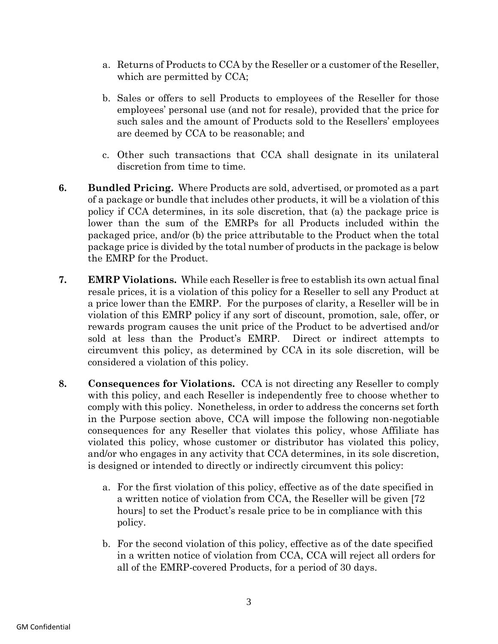- a. Returns of Products to CCA by the Reseller or a customer of the Reseller, which are permitted by CCA;
- b. Sales or offers to sell Products to employees of the Reseller for those employees' personal use (and not for resale), provided that the price for such sales and the amount of Products sold to the Resellers' employees are deemed by CCA to be reasonable; and
- c. Other such transactions that CCA shall designate in its unilateral discretion from time to time.
- **6. Bundled Pricing.** Where Products are sold, advertised, or promoted as a part of a package or bundle that includes other products, it will be a violation of this policy if CCA determines, in its sole discretion, that (a) the package price is lower than the sum of the EMRPs for all Products included within the packaged price, and/or (b) the price attributable to the Product when the total package price is divided by the total number of products in the package is below the EMRP for the Product.
- **7. EMRP Violations.** While each Reseller is free to establish its own actual final resale prices, it is a violation of this policy for a Reseller to sell any Product at a price lower than the EMRP. For the purposes of clarity, a Reseller will be in violation of this EMRP policy if any sort of discount, promotion, sale, offer, or rewards program causes the unit price of the Product to be advertised and/or sold at less than the Product's EMRP. Direct or indirect attempts to circumvent this policy, as determined by CCA in its sole discretion, will be considered a violation of this policy.
- **8. Consequences for Violations.** CCA is not directing any Reseller to comply with this policy, and each Reseller is independently free to choose whether to comply with this policy. Nonetheless, in order to address the concerns set forth in the Purpose section above, CCA will impose the following non-negotiable consequences for any Reseller that violates this policy, whose Affiliate has violated this policy, whose customer or distributor has violated this policy, and/or who engages in any activity that CCA determines, in its sole discretion, is designed or intended to directly or indirectly circumvent this policy:
	- a. For the first violation of this policy, effective as of the date specified in a written notice of violation from CCA, the Reseller will be given [72 hours] to set the Product's resale price to be in compliance with this policy.
	- b. For the second violation of this policy, effective as of the date specified in a written notice of violation from CCA, CCA will reject all orders for all of the EMRP-covered Products, for a period of 30 days.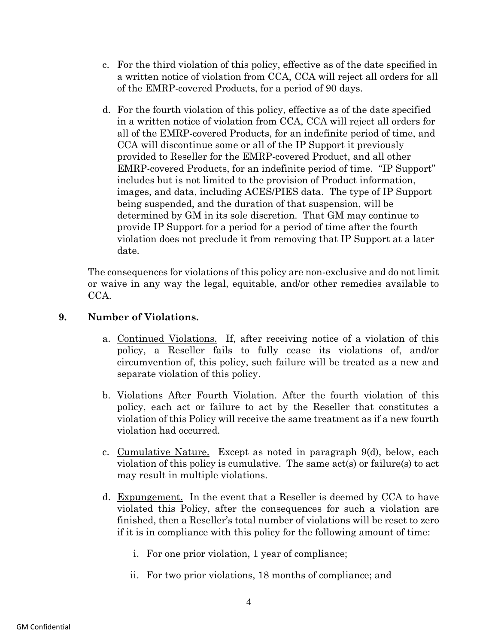- c. For the third violation of this policy, effective as of the date specified in a written notice of violation from CCA, CCA will reject all orders for all of the EMRP-covered Products, for a period of 90 days.
- d. For the fourth violation of this policy, effective as of the date specified in a written notice of violation from CCA, CCA will reject all orders for all of the EMRP-covered Products, for an indefinite period of time, and CCA will discontinue some or all of the IP Support it previously provided to Reseller for the EMRP-covered Product, and all other EMRP-covered Products, for an indefinite period of time. "IP Support" includes but is not limited to the provision of Product information, images, and data, including ACES/PIES data. The type of IP Support being suspended, and the duration of that suspension, will be determined by GM in its sole discretion. That GM may continue to provide IP Support for a period for a period of time after the fourth violation does not preclude it from removing that IP Support at a later date.

The consequences for violations of this policy are non-exclusive and do not limit or waive in any way the legal, equitable, and/or other remedies available to CCA.

## **9. Number of Violations.**

- a. Continued Violations. If, after receiving notice of a violation of this policy, a Reseller fails to fully cease its violations of, and/or circumvention of, this policy, such failure will be treated as a new and separate violation of this policy.
- b. Violations After Fourth Violation. After the fourth violation of this policy, each act or failure to act by the Reseller that constitutes a violation of this Policy will receive the same treatment as if a new fourth violation had occurred.
- c. Cumulative Nature. Except as noted in paragraph 9(d), below, each violation of this policy is cumulative. The same act(s) or failure(s) to act may result in multiple violations.
- d. Expungement. In the event that a Reseller is deemed by CCA to have violated this Policy, after the consequences for such a violation are finished, then a Reseller's total number of violations will be reset to zero if it is in compliance with this policy for the following amount of time:
	- i. For one prior violation, 1 year of compliance;
	- ii. For two prior violations, 18 months of compliance; and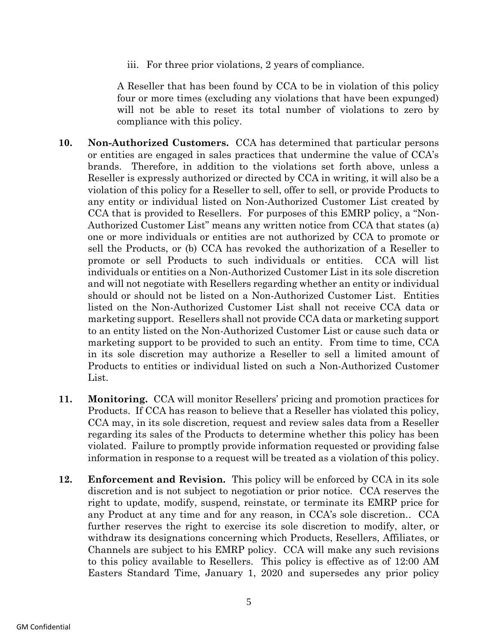iii. For three prior violations, 2 years of compliance.

A Reseller that has been found by CCA to be in violation of this policy four or more times (excluding any violations that have been expunged) will not be able to reset its total number of violations to zero by compliance with this policy.

- **10. Non-Authorized Customers.** CCA has determined that particular persons or entities are engaged in sales practices that undermine the value of CCA's brands. Therefore, in addition to the violations set forth above, unless a Reseller is expressly authorized or directed by CCA in writing, it will also be a violation of this policy for a Reseller to sell, offer to sell, or provide Products to any entity or individual listed on Non-Authorized Customer List created by CCA that is provided to Resellers. For purposes of this EMRP policy, a "Non-Authorized Customer List" means any written notice from CCA that states (a) one or more individuals or entities are not authorized by CCA to promote or sell the Products, or (b) CCA has revoked the authorization of a Reseller to promote or sell Products to such individuals or entities. CCA will list individuals or entities on a Non-Authorized Customer List in its sole discretion and will not negotiate with Resellers regarding whether an entity or individual should or should not be listed on a Non-Authorized Customer List. Entities listed on the Non-Authorized Customer List shall not receive CCA data or marketing support. Resellers shall not provide CCA data or marketing support to an entity listed on the Non-Authorized Customer List or cause such data or marketing support to be provided to such an entity. From time to time, CCA in its sole discretion may authorize a Reseller to sell a limited amount of Products to entities or individual listed on such a Non-Authorized Customer List.
- **11. Monitoring.** CCA will monitor Resellers' pricing and promotion practices for Products. If CCA has reason to believe that a Reseller has violated this policy, CCA may, in its sole discretion, request and review sales data from a Reseller regarding its sales of the Products to determine whether this policy has been violated. Failure to promptly provide information requested or providing false information in response to a request will be treated as a violation of this policy.
- **12. Enforcement and Revision.** This policy will be enforced by CCA in its sole discretion and is not subject to negotiation or prior notice. CCA reserves the right to update, modify, suspend, reinstate, or terminate its EMRP price for any Product at any time and for any reason, in CCA's sole discretion.. CCA further reserves the right to exercise its sole discretion to modify, alter, or withdraw its designations concerning which Products, Resellers, Affiliates, or Channels are subject to his EMRP policy.CCA will make any such revisions to this policy available to Resellers. This policy is effective as of 12:00 AM Easters Standard Time, January 1, 2020 and supersedes any prior policy